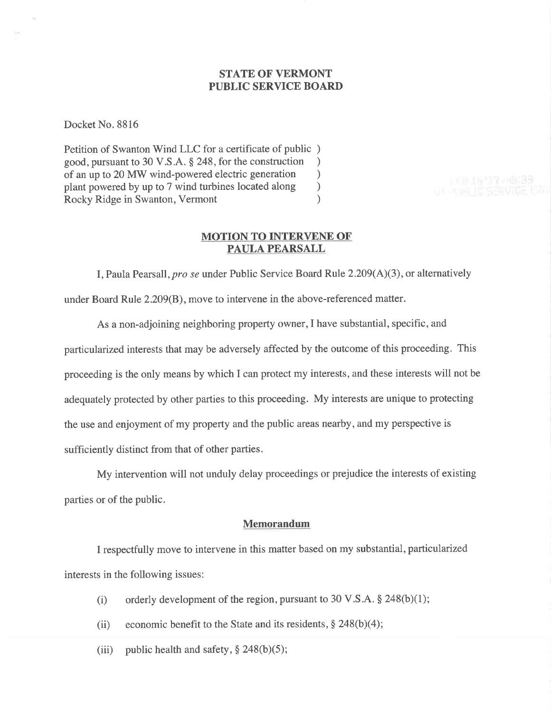## STATE OF VERMONT PUBLIC SERVICE BOARD

Docket No. 8816

Petition of Swanton Wind LLC for a certificate of public ) good, pursuant to 30 V.S.A. § 248, for the construction <br>of an up to 20 MW wind-powered electric generation  $\qquad$ of an up to 20 MW wind-powered electric generation <br>plant powered by up to 7 wind turbines located along ) plant powered by up to 7 wind turbines located along <br>
Rocky Ridge in Swanton, Vermont (a) Rocky Ridge in Swanton, Vermont )

### MOTION TO INTERVENE OF PAULA PEARSALL

1680877-0839

I, Paula Pearsall, pro se under Public Service Board Rule  $2.209(A)(3)$ , or alternatively under Board Rule 2.209(8), move to intervene in the above-referenced matter.

As a non-adjoining neighboring property owner,I have substantial, specific, and particularized interests that may be adversely affected by the outcome of this proceeding. This proceeding is the only means by which I can protect my interests, and these interests will not be adequately protected by other parties to this proceeding. My interests are unique to protecting the use and enjoyment of my property and the public areas nearby, and my perspective is sufficiently distinct from that of other parties.

My intervention will not unduly delay proceedings or prejudice the interests of existing parties or of the public.

### Memorandum

I respectfully move to intervene in this matter based on my substantial, particularized interests in the following issues:

- (i) orderly development of the region, pursuant to 30 V.S.A.  $\S$  248(b)(1);
- (ii) economic benefit to the State and its residents,  $\S 248(b)(4)$ ;
- (iii) public health and safety,  $\frac{6}{5}$  248(b)(5);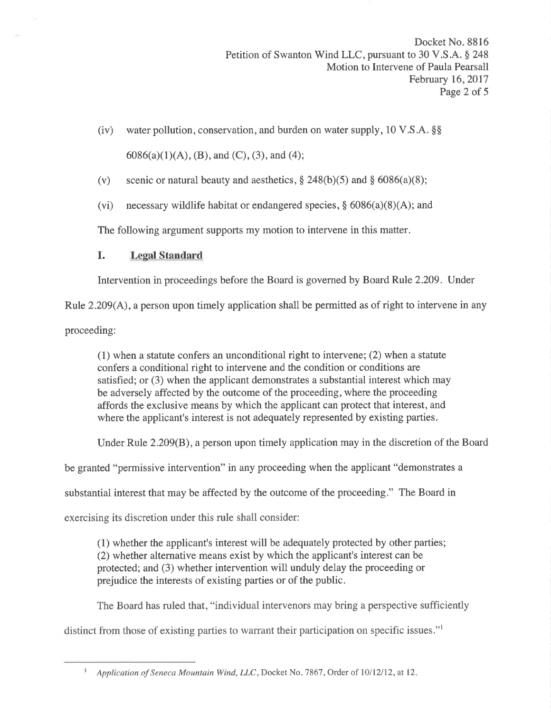- (iv) water pollution, conservation, and burden on water supply,  $10 \text{ V.S.A.}$  \$\$  $6086(a)(1)(A), (B),$  and  $(C), (3),$  and  $(4);$
- (v) scenic or natural beauty and aesthetics,  $\S 248(b)(5)$  and  $\S 6086(a)(8)$ ;
- (vi) necessary wildlife habitat or endangered species,  $\S$  6086(a)(8)(A); and

The following argument supports my motion to intervene in this matter.

# I. Legal Standard

Intervention in proceedings before the Board is governed by Board Rule 2.209. Under

Rule 2.209(A), a person upon timely application shall be permitted as of right to intervene in any

proceeding:

 $(1)$  when a statute confers an unconditional right to intervene;  $(2)$  when a statute confers a conditional right to intervene and the condition or conditions are satisfied; or (3) when the applicant demonstrates a substantial interest which may be adversely affected by the outcome of the proceeding, where the proceeding affords the exclusive means by which the applicant can protect that interest, and where the applicant's interest is not adequately represented by existing parties.

Under Rule 2.209(B), a person upon timely application may in the discretion of the Board

be granted "permissive intervention" in any proceeding when the applicant "demonstrates a

substantial interest that may be affected by the outcome of the proceeding." The Board in

exercising its discretion under this rule shall consider:

(1) whether the applicant's interest will be adequately protected by other parties; (2) whether alternative means exist by which the applicant's interest can be protected; and (3) whether intervention will unduly delay the proceeding or prejudice the interests of existing parties or of the public.

The Board has ruled that, "individual intervenors may bring a perspective sufficiently

distinct from those of existing parties to warrant their participation on specific issues."l

 $\Lambda$ Application of Seneca Mountain Wind, LLC, Docket No. 7867, Order of 10/12/12, at 12.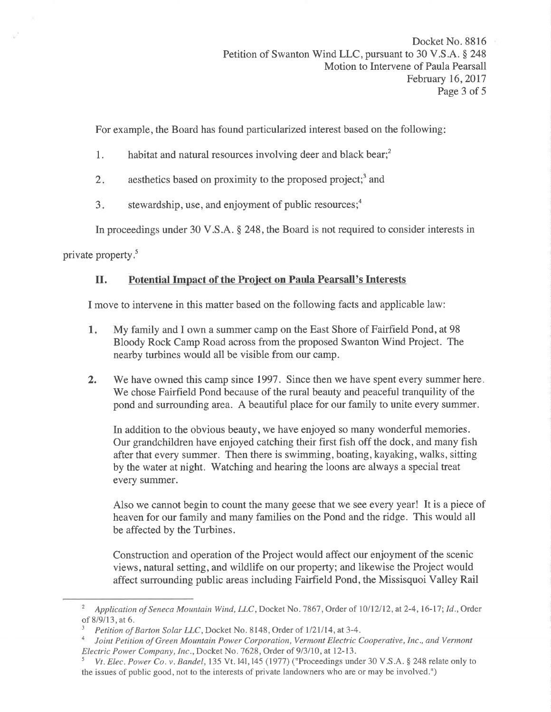For example, the Board has found particularized interest based on the following

- 1. habitat and natural resources involving deer and black bear;<sup>2</sup>
- aesthetics based on proximity to the proposed project;<sup>3</sup> and  $2.$
- stewardship, use, and enjoyment of public resources; $<sup>4</sup>$ </sup>  $3<sub>1</sub>$

In proceedings under 30 V.S.A. \$ 248, the Board is not required to consider interests in

private property.<sup>5</sup>

# II. Potential Impact of the Project on Paula Pearsall's Interests

I move to intervene in this matter based on the following facts and applicable law:

- <sup>1</sup> My family and I own a summer camp on the East Shore of Fairfield Pond, at 98 Bloody Rock Camp Road across from the proposed Swanton Wind Project. The nearby turbines would all be visible from our camp.
- 2. We have owned this camp since 1997. Since then we have spent every summer here. We chose Fairfield Pond because of the rural beauty and peaceful tranquility of the pond and surrounding area. A beautiful place for our family to unite every summer.

In addition to the obvious beauty, we have enjoyed so many wonderful memories. Our grandchildren have enjoyed catching their first fish off the dock, and many fish after that every summer. Then there is swimming, boating, kayaking, walks, sitting by the water at night. Watching and hearing the loons are always a special treat every summer.

Also we cannot begin to count the many geese that we see every year! It is a piece of heaven for our family and many families on the Pond and the ridge. This would all be affected by the Turbines.

Construction and operation of the Project would affect our enjoyment of the scenic views, natural setting, and wildlife on our property; and likewise the Project would affect surrounding public areas including Fairfield Pond, the Missisquoi Valley Rail

Application of Seneca Mountain Wind, LLC, Docket No. 7867, Order of 10/12/12, at 2-4, 16-17; Id., Order

of 8/9/13, at 6.  $\frac{3}{P}$  Petition of Barton Solar LLC, Docket No. 8148, Order of 1/21/14, at 3-4.

Joint Petition of Green Mountain Power Corporation, Vermont Electric Cooperative, Inc., and Vermont Electric Power Company, Inc., Docket No. 7628, Order of 9/3/10, at 12-13.

Vt. Elec. Power Co. v. Bandel, 135 Vt. 141, 145 (1977) ("Proceedings under 30 V.S.A. § 248 relate only to the issues of public good, not to the interests of private landowners who are or may be involved.")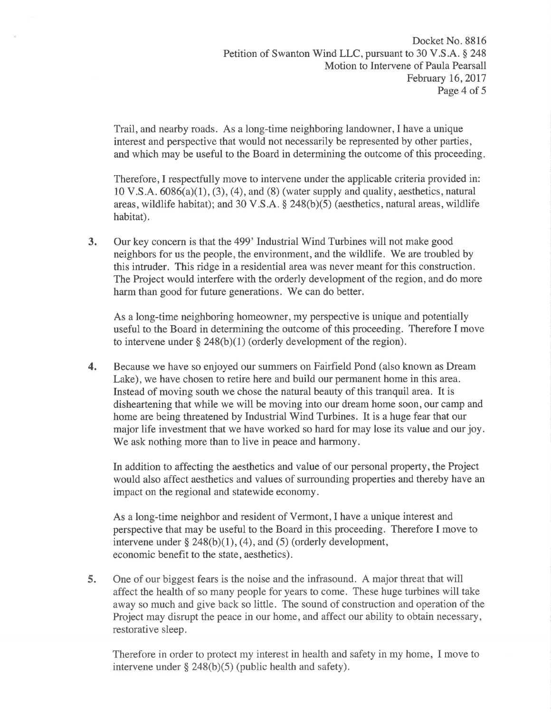Trail, and nearby roads. As a long-time neighboring landowner,I have a unique interest and perspective that would not necessarily be represented by other parties, and which may be useful to the Board in determining the outcome of this proceeding

Therefore, I respectfully move to intervene under the applicable criteria provided in:  $10 \text{ V.S.A. } 6086(a)(1), (3), (4),$  and  $(8)$  (water supply and quality, aesthetics, natural areas, wildlife habitat); and 30 V.S.A.  $\S$  248(b)(5) (aesthetics, natural areas, wildlife habitat).

3. Our key concern is that the 499' Industrial Wind Turbines will not make good ending the sum of the environment, and the wildlife. We are troubled by neighbors for us the people, the environment, and the wildlife. We are troubled by this intruder. This ridge in a residential area was never meant for this construction. The Project would interfere with the orderly development of the region, and do more harm than good for future generations. We can do better.

As a long-time neighboring homeowner, my perspective is unique and potentially useful to the Board in determining the outcome of this proceeding. Therefore I move to intervene under  $\S$  248(b)(1) (orderly development of the region).

4. Because we have so enjoyed our summers on Fairfield Pond (also known as Dream Lake), we have chosen to retire here and build our permanent home in this area. Instead of moving south we chose the natural beauty of this tranquil area. It is disheartening that while we will be moving into our dream home soon, our camp and home are being threatened by Industrial Wind Turbines. It is a huge fear that our major life investment that we have worked so hard for may lose its value and our joy. We ask nothing more than to live in peace and harmony.

In addition to affecting the aesthetics and value of our personal property, the Project would also affect aesthetics and values of surrounding properties and thereby have an impact on the regional and statewide economy.

As a long-time neighbor and resident of Vermont, I have a unique interest and perspective that may be useful to the Board in this proceeding. Therefore I move to intervene under  $\S$  248(b)(1),(4), and (5) (orderly development, economic benefit to the state, aesthetics).

5. One of our biggest fears is the noise and the infrasound. A major threat that will affect the health of so many people for years to come. These huge turbines will take away so much and give back so little. The sound of construction and operation of the Project may disrupt the peace in our home, and affect our ability to obtain necessary, restorative sleep.

Therefore in order to protect my interest in health and safety in my home, I move to intervene under  $\S 248(b)(5)$  (public health and safety).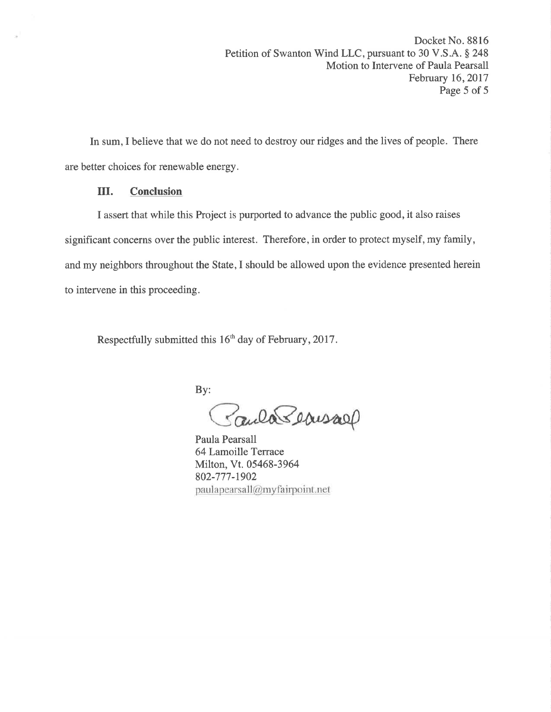In sum, I believe that we do not need to destroy our ridges and the lives of people. There are better choices for renewable energy.

## III. Conclusion

I assert that while this Project is purported to advance the public good, it also raises significant concerns over the public interest. Therefore, in order to protect myself, my family, and my neighbors throughout the State,I should be allowed upon the evidence presented herein to intervene in this proceeding.

Respectfully submitted this  $16<sup>th</sup>$  day of February, 2017.

By:

Paula Beausary

Paula Pearsall 64Lamoille Terrace Milton, Vt.05468-3964 802-777-1902 paulapearsall@myfairpoint.net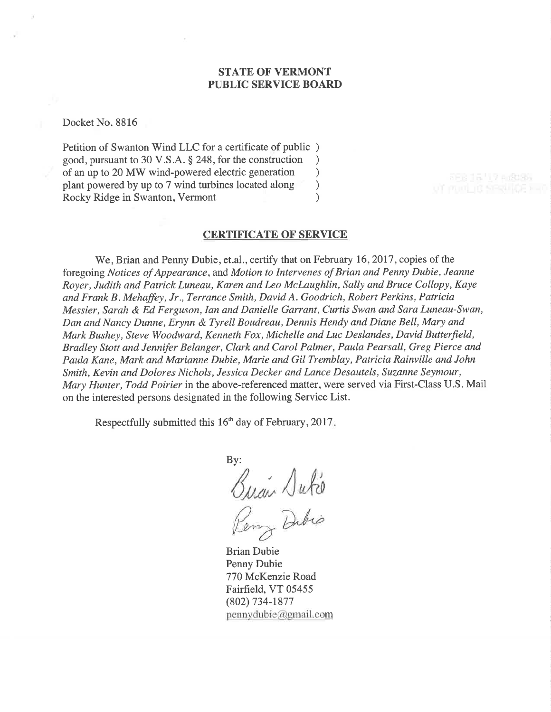## STATE OF VERMONT PUBLIC SERVICE BOARD

Docket No. 8816

Petition of Swanton Wind LLC for a certificate of public ) good, pursuant to 30 V.S.A. \$ 248, for the construction ) of an up to 20 MW wind-powered electric generation<br>plant powered by up to 7 wind turbines located along plant powered by up to 7 wind turbines located along ) Rocky Ridge in Swanton, Vermont (1988)

#### **CERTIFICATE OF SERVICE**

We, Brian and Penny Dubie, et.al., certify that on February 16, 2017, copies of the foregoing Notices of Appearance, and Motion to Intervenes of Brian and Penny Dubie, Jeanne Royer, Judith and Patrick Luneau, Karen and Leo McLaughlin, Sally and Bruce Collopy, Kaye and Frank B. Mehaffey, Jr., Terrance Smith, David A. Goodrich, Robert Perkins, Patricia Messier, Sarah & Ed Ferguson, Ian and Danielle Garrant, Curtis Swan and Sara Luneau-Swan, Dan and Nancy Dunne, Erynn & Tyrell Boudreau, Dennis Hendy and Diane Bell, Mary and Mark Bushey, Steve Woodward, Kenneth Fox, Michelle and Luc Deslandes, David Butterfield, Bradley Stott and Jennifer Belanger, Clark and Carol Palmer, Paula Pearsall, Greg Pierce and Paula Kane, Mark and Marianne Dubie, Marie and Gil Tremblay, Patricia Rainville and John Smith, Kevin and Dolores Nichols, Jessica Decker and Lance Desautels, Suzanne Seymour, Mary Hunter, Todd Poirier in the above-referenced matter, were served via First-Class U.S. Mail on the interested persons designated in the following Service List.

Respectfully submitted this 16'h day of February,2017

By:  $\sqrt{abc}$ Dibip

Brian Dubie Penny Dubie 770 McKenzie Road Fairfield, VT 05455 (802) 734-1877  $pennydubic@gmail.com$